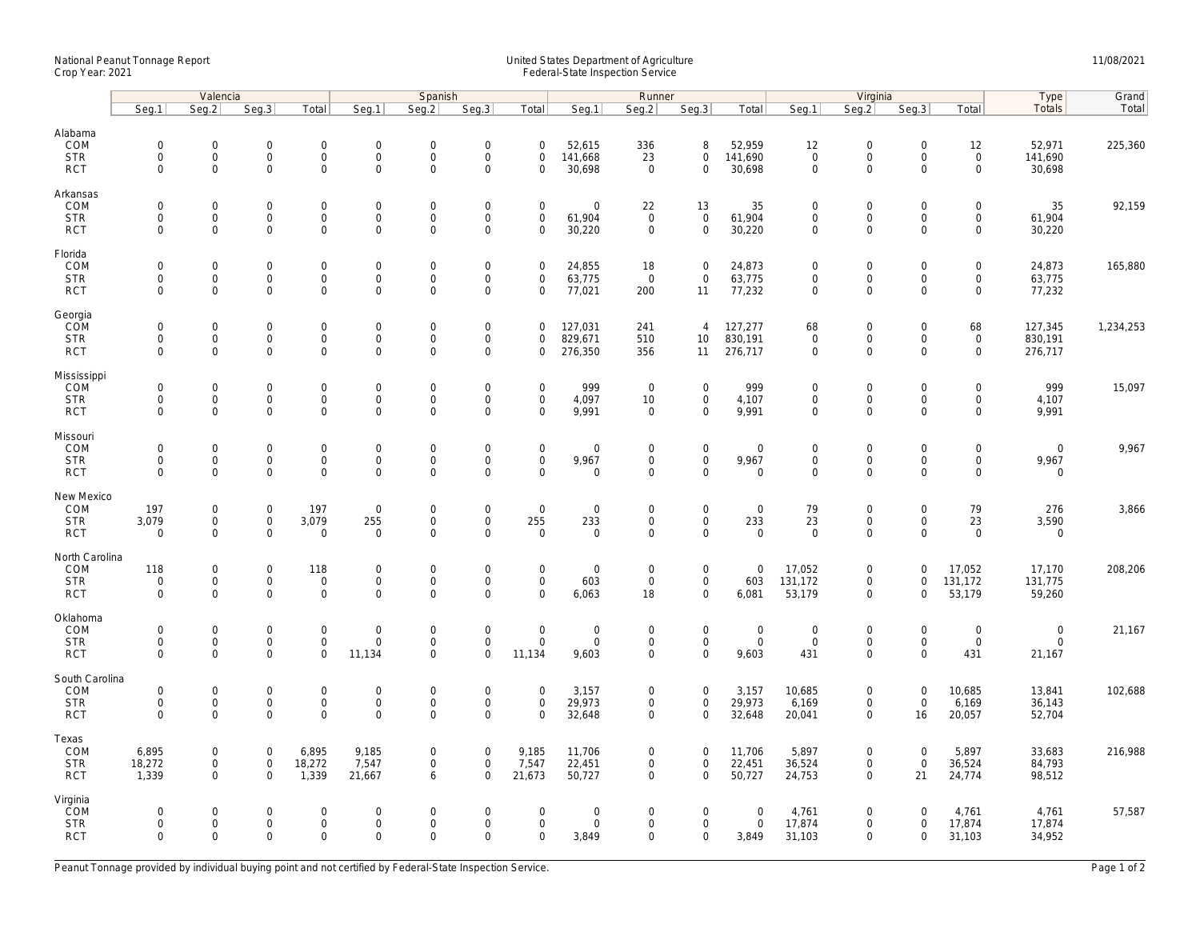## National Peanut Tonnage Report United States Department of Agriculture 11/08/2021<br>Crop Year: 2021 Federal-State Inspection Service

|                                                   | Valencia                                  |                                                                   |                                                   |                                                    | Spanish                                     |                                                   |                                                           |                                               |                                                   | Runner                                            |                                                            |                                       | Virginia                                                  |                                                            |                                           |                                                           | Type                                         | Grand     |
|---------------------------------------------------|-------------------------------------------|-------------------------------------------------------------------|---------------------------------------------------|----------------------------------------------------|---------------------------------------------|---------------------------------------------------|-----------------------------------------------------------|-----------------------------------------------|---------------------------------------------------|---------------------------------------------------|------------------------------------------------------------|---------------------------------------|-----------------------------------------------------------|------------------------------------------------------------|-------------------------------------------|-----------------------------------------------------------|----------------------------------------------|-----------|
|                                                   | Seg.1                                     | Seg.2                                                             | Seg.3                                             | Total                                              | Seg.1                                       | Seq.2                                             | Seg.3                                                     | Total                                         | Seg.1                                             | Seg.2                                             | Seg.3                                                      | Total                                 | Seg.1                                                     | Seg.2                                                      | Seg.3                                     | Total                                                     | Totals                                       | Total     |
| Alabama<br>COM<br><b>STR</b><br><b>RCT</b>        | $\mathbf 0$<br>$\mathbf 0$<br>$\mathbf 0$ | 0<br>$\mathsf{O}\xspace$<br>$\mathbf{0}$                          | $\mathbf 0$<br>$\mathbf 0$<br>$\mathbf 0$         | $\mathsf{O}\xspace$<br>$\mathbf 0$<br>$\mathbf{0}$ | $\mathsf{O}$<br>$\mathbf 0$<br>$\mathbf 0$  | $\mathbf 0$<br>$\mathsf 0$<br>$\mathbf 0$         | $\mathsf{O}\xspace$<br>$\mathsf 0$<br>$\Omega$            | $\mathbf 0$<br>$\mathsf 0$<br>$\Omega$        | 52,615<br>141,668<br>30,698                       | 336<br>23<br>$\overline{0}$                       | 8<br>$\mathbf 0$<br>$\mathbf{0}$                           | 52,959<br>141,690<br>30,698           | 12<br>$\mathsf{O}\xspace$<br>$\mathbf 0$                  | $\mathbf 0$<br>$\mathsf{O}\xspace$<br>$\Omega$             | $\mathsf 0$<br>$\mathsf 0$<br>$\Omega$    | 12<br>$\mathbf 0$<br>$\mathbf{0}$                         | 52,971<br>141,690<br>30,698                  | 225,360   |
| Arkansas<br>COM<br><b>STR</b><br><b>RCT</b>       | $\mathbf 0$<br>$\mathbf 0$<br>$\mathbf 0$ | $\mathbf{0}$<br>$\mathbf 0$<br>$\mathbf 0$                        | $\mathbf 0$<br>$\mathbf 0$<br>$\mathbf 0$         | $\mathbf 0$<br>0<br>$\mathbf 0$                    | $\mathsf{O}$<br>$\mathsf{O}$<br>$\mathbf 0$ | $\mathbf 0$<br>$\mathsf 0$<br>$\mathbf 0$         | $\mathbf 0$<br>$\mathsf{O}\xspace$<br>$\mathbf 0$         | $\mathbf 0$<br>$\mathsf 0$<br>$\mathbf 0$     | $\mathbf 0$<br>61,904<br>30,220                   | 22<br>$\overline{0}$<br>$\mathbf 0$               | 13<br>$\mathsf 0$<br>$\mathbf 0$                           | 35<br>61,904<br>30,220                | $\mathbf 0$<br>$\mathsf{O}\xspace$<br>$\mathbf{0}$        | $\mathbf 0$<br>$\mathsf{O}\xspace$<br>$\mathbf 0$          | $\mathbf 0$<br>$\mathbf 0$<br>$\Omega$    | $\mathbf 0$<br>$\mathbf 0$<br>$\mathbf 0$                 | 35<br>61,904<br>30,220                       | 92,159    |
| Florida<br>COM<br><b>STR</b><br><b>RCT</b>        | $\mathbf 0$<br>$\mathbf 0$<br>$\mathbf 0$ | $\mathsf{O}\xspace$<br>$\mathsf{O}\xspace$<br>$\mathbf 0$         | $\mathbf 0$<br>$\mathbf 0$<br>$\mathbf 0$         | $\mathsf{O}\xspace$<br>$\mathbf 0$<br>$\mathbf 0$  | $\mathbf 0$<br>$\mathbf 0$<br>$\mathbf 0$   | $\mathbf 0$<br>$\mathbf 0$<br>$\mathbf 0$         | $\mathsf{O}\xspace$<br>$\mathsf{O}\xspace$<br>$\mathbf 0$ | $\mathsf 0$<br>0<br>$\mathbf 0$               | 24,855<br>63,775<br>77,021                        | 18<br>$\overline{0}$<br>200                       | $\mathsf{O}\xspace$<br>$\mathbf 0$<br>11                   | 24,873<br>63,775<br>77,232            | $\mathbf 0$<br>$\mathbf 0$<br>$\mathsf{O}\xspace$         | $\mathbf 0$<br>$\mathsf{O}\xspace$<br>$\mathbf 0$          | $\mathsf 0$<br>$\mathbf 0$<br>$\mathbf 0$ | $\mathsf{O}\xspace$<br>$\mathbf 0$<br>$\mathbf 0$         | 24,873<br>63,775<br>77,232                   | 165,880   |
| Georgia<br>COM<br><b>STR</b><br><b>RCT</b>        | $\mathbf 0$<br>$\mathbf 0$<br>$\mathbf 0$ | $\mathsf{O}\xspace$<br>$\mathsf{O}$<br>$\mathbf{0}$               | $\mathbf 0$<br>$\mathbf 0$<br>$\mathbf 0$         | $\mathsf{O}\xspace$<br>$\mathbf 0$<br>$\mathbf{0}$ | $\mathbf 0$<br>$\mathsf{O}$<br>$\mathbf 0$  | $\mathbf 0$<br>$\mathsf{O}\xspace$<br>$\mathbf 0$ | $\mathsf{O}\xspace$<br>$\mathsf{O}\xspace$<br>$\mathbf 0$ | $\mathbf 0$<br>$\mathbf 0$<br>$\mathbf 0$     | 127,031<br>829,671<br>276,350                     | 241<br>510<br>356                                 | $\overline{4}$<br>10 <sup>°</sup><br>11                    | 127,277<br>830,191<br>276,717         | 68<br>$\mathsf{O}\xspace$<br>$\mathbf 0$                  | $\mathsf{O}\xspace$<br>$\mathsf{O}\xspace$<br>$\mathbf 0$  | $\mathbf 0$<br>$\mathbf 0$<br>$\mathbf 0$ | 68<br>$\mathsf 0$<br>$\mathbf 0$                          | 127,345<br>830,191<br>276,717                | 1,234,253 |
| Mississippi<br>COM<br><b>STR</b><br><b>RCT</b>    | $\mathbf 0$<br>$\mathbf 0$<br>$\mathbf 0$ | $\mathbf 0$<br>$\mathsf{O}\xspace$<br>$\mathbf 0$                 | $\mathbf 0$<br>$\mathsf{O}\xspace$<br>$\mathbf 0$ | $\mathbf{0}$<br>$\mathsf{O}$<br>$\mathbf 0$        | $\mathbf 0$<br>$\mathsf{O}$<br>$\mathbf 0$  | $\mathbf 0$<br>$\mathsf 0$<br>$\mathbf 0$         | $\mathbf 0$<br>$\mathsf 0$<br>$\mathbf 0$                 | $\mathbf 0$<br>$\mathsf 0$<br>$\mathbf 0$     | 999<br>4,097<br>9,991                             | $\mathbf 0$<br>10<br>$\mathbf 0$                  | $\mathbf 0$<br>$\mathbf 0$<br>$\mathbf 0$                  | 999<br>4,107<br>9,991                 | $\mathbf 0$<br>$\mathsf{O}\xspace$<br>$\mathsf{O}\xspace$ | $\mathbf 0$<br>$\mathsf{O}\xspace$<br>$\mathbf 0$          | $\mathbf 0$<br>0<br>$\mathbf 0$           | $\mathbf 0$<br>$\mathsf{O}$<br>$\mathbf 0$                | 999<br>4,107<br>9,991                        | 15,097    |
| Missouri<br>COM<br><b>STR</b><br><b>RCT</b>       | $\mathbf 0$<br>$\mathbf 0$<br>$\Omega$    | $\mathsf{O}\xspace$<br>0<br>$\mathbf 0$                           | $\mathbf 0$<br>$\mathbf 0$<br>$\mathbf 0$         | $\mathsf{O}\xspace$<br>0<br>$\mathbf 0$            | $\mathbf 0$<br>$\mathbf 0$<br>$\mathbf 0$   | $\mathbf 0$<br>$\mathbf 0$<br>$\mathbf 0$         | $\mathsf{O}\xspace$<br>$\mathsf{O}\xspace$<br>$\mathbf 0$ | $\mathsf 0$<br>$\mathbf 0$<br>$\mathbf 0$     | $\mathsf{O}\xspace$<br>9,967<br>$\mathbf 0$       | $\mathbf 0$<br>$\mathbf 0$<br>$\mathbf 0$         | $\mathsf{O}\xspace$<br>$\mathsf{O}\xspace$<br>$\mathbf{0}$ | $\mathbf 0$<br>9,967<br>$\mathbf 0$   | $\mathbf 0$<br>$\mathbf 0$<br>$\mathbf 0$                 | $\mathsf{O}\xspace$<br>$\mathsf{O}\xspace$<br>$\mathbf 0$  | $\mathbf 0$<br>$\mathbf 0$<br>$\mathbf 0$ | $\mathsf{O}\xspace$<br>$\mathsf{O}\xspace$<br>$\mathbf 0$ | $\mathbf 0$<br>9,967<br>$\mathbf 0$          | 9,967     |
| New Mexico<br>COM<br><b>STR</b><br><b>RCT</b>     | 197<br>3,079<br>$\mathbf 0$               | $\mathsf{O}\xspace$<br>$\mathsf{O}\xspace$<br>$\mathsf{O}\xspace$ | $\mathbf 0$<br>$\mathbf 0$<br>$\mathbf 0$         | 197<br>3,079<br>$\mathsf{O}\xspace$                | $\boldsymbol{0}$<br>255<br>$\mathbf 0$      | $\mathbf 0$<br>$\mathbf 0$<br>$\mathbf 0$         | $\mathsf{O}\xspace$<br>$\mathbf 0$<br>$\Omega$            | $\mathsf 0$<br>255<br>$\Omega$                | $\mathsf{O}\xspace$<br>233<br>$\mathsf{O}\xspace$ | $\mathbf 0$<br>$\mathbf 0$<br>$\Omega$            | $\mathsf{O}\xspace$<br>$\mathbf 0$<br>$\mathsf{O}$         | $\mathbf 0$<br>233<br>$\mathsf 0$     | 79<br>23<br>$\mathbf 0$                                   | $\mathsf{O}\xspace$<br>$\mathsf{O}$<br>$\mathsf{O}\xspace$ | $\mathsf 0$<br>$\mathbf 0$<br>$\Omega$    | 79<br>23<br>$\mathsf{O}\xspace$                           | 276<br>3,590<br>$\mathbf 0$                  | 3,866     |
| North Carolina<br>COM<br><b>STR</b><br><b>RCT</b> | 118<br>$\mathbf 0$<br>$\mathbf 0$         | 0<br>$\mathsf{O}\xspace$<br>$\mathbf 0$                           | $\mathbf 0$<br>$\mathbf 0$<br>$\mathbf 0$         | 118<br>$\mathbf{0}$<br>$\mathbf{0}$                | $\mathbf 0$<br>$\mathbf 0$<br>$\mathbf 0$   | $\mathbf 0$<br>$\mathbf 0$<br>$\mathbf 0$         | $\mathsf{O}\xspace$<br>$\mathsf 0$<br>$\Omega$            | $\mathbf 0$<br>$\mathbf 0$<br>$\Omega$        | $\mathbf 0$<br>603<br>6,063                       | $\mathbf 0$<br>$\mathbf 0$<br>18                  | $\mathbf 0$<br>$\mathbf{0}$<br>$\mathbf{0}$                | $\mathbf 0$<br>603<br>6,081           | 17,052<br>131,172<br>53,179                               | $\mathbf 0$<br>$\mathsf{O}$<br>$\mathbf 0$                 | $\Omega$<br>$\mathbf 0$<br>$\Omega$       | 17,052<br>131,172<br>53,179                               | 17,170<br>131,775<br>59,260                  | 208,206   |
| Oklahoma<br>COM<br><b>STR</b><br><b>RCT</b>       | $\mathbf 0$<br>$\mathbf 0$<br>$\Omega$    | $\mathbf 0$<br>$\mathsf{O}\xspace$<br>$\mathbf 0$                 | $\mathbf 0$<br>$\mathbf 0$<br>$\mathbf 0$         | $\mathbf{0}$<br>$\mathsf{O}\xspace$<br>$\mathbf 0$ | $\mathbf 0$<br>$\mathsf{O}$<br>11,134       | $\mathbf 0$<br>$\mathbf 0$<br>$\Omega$            | $\mathsf 0$<br>$\mathsf{O}\xspace$<br>$\Omega$            | $\mathbf{0}$<br>$\mathsf{O}\xspace$<br>11,134 | $\mathbf 0$<br>$\mathsf{O}\xspace$<br>9,603       | $\mathsf{O}\xspace$<br>$\mathbf 0$<br>$\mathbf 0$ | $\mathbf{0}$<br>$\mathsf 0$<br>$\mathbf 0$                 | $\mathsf{O}$<br>$\mathsf{O}$<br>9,603 | $\mathbf 0$<br>$\mathsf{O}\xspace$<br>431                 | $\mathbf 0$<br>$\mathsf{O}$<br>$\mathbf 0$                 | $\mathbf 0$<br>$\mathbf 0$<br>$\Omega$    | $\mathsf{O}\xspace$<br>$\mathsf{O}\xspace$<br>431         | $\mathbf 0$<br>$\mathsf{O}\xspace$<br>21,167 | 21,167    |
| South Carolina<br>COM<br><b>STR</b><br><b>RCT</b> | $\mathbf 0$<br>$\mathbf 0$<br>$\mathbf 0$ | $\mathsf{O}\xspace$<br>0<br>$\mathbf 0$                           | $\mathbf 0$<br>$\mathbf 0$<br>$\mathbf 0$         | $\mathbf 0$<br>$\boldsymbol{0}$<br>$\mathbf 0$     | $\mathbf 0$<br>$\mathbf 0$<br>$\mathbf 0$   | $\mathbf 0$<br>$\mathbf 0$<br>$\mathbf 0$         | $\mathsf{O}\xspace$<br>$\mathsf{O}\xspace$<br>$\mathbf 0$ | $\mathbf 0$<br>$\mathbf 0$<br>$\mathbf 0$     | 3,157<br>29,973<br>32,648                         | 0<br>0<br>$\mathbf 0$                             | $\mathbf 0$<br>$\mathbf 0$<br>$\mathbf 0$                  | 3,157<br>29,973<br>32,648             | 10,685<br>6,169<br>20,041                                 | $\mathsf{O}\xspace$<br>$\mathsf{O}\xspace$<br>$\mathbf 0$  | $\mathbf{0}$<br>$\mathbf 0$<br>16         | 10,685<br>6,169<br>20,057                                 | 13,841<br>36,143<br>52,704                   | 102,688   |
| Texas<br>COM<br><b>STR</b><br><b>RCT</b>          | 6,895<br>18,272<br>1,339                  | $\mathbf 0$<br>$\mathsf{O}\xspace$<br>$\mathbf{0}$                | $\mathbf 0$<br>$\mathsf 0$<br>$\Omega$            | 6,895<br>18,272<br>1,339                           | 9,185<br>7,547<br>21,667                    | $\mathbf 0$<br>$\mathsf 0$<br>6                   | $\mathsf{O}\xspace$<br>$\mathsf 0$<br>$\Omega$            | 9,185<br>7,547<br>21,673                      | 11,706<br>22,451<br>50,727                        | 0<br>0<br>$\mathbf 0$                             | $\mathbf 0$<br>$\mathbf 0$<br>$\mathbf 0$                  | 11,706<br>22,451<br>50,727            | 5,897<br>36,524<br>24,753                                 | $\mathbf 0$<br>$\mathsf{O}\xspace$<br>$\mathbf 0$          | $\mathbf 0$<br>$\mathsf 0$<br>21          | 5,897<br>36,524<br>24,774                                 | 33,683<br>84,793<br>98,512                   | 216,988   |
| Virginia<br>COM<br><b>STR</b><br><b>RCT</b>       | $\mathbf 0$<br>$\mathbf 0$<br>$\mathbf 0$ | $\mathbf{0}$<br>$\mathsf{O}\xspace$<br>$\mathbf 0$                | $\mathbf 0$<br>$\mathbf 0$<br>$\mathbf 0$         | $\mathbf 0$<br>$\mathsf{O}\xspace$<br>$\mathbf 0$  | $\mathbf 0$<br>$\mathsf{O}$<br>$\mathbf 0$  | $\mathbf 0$<br>$\mathsf 0$<br>$\Omega$            | $\mathbf 0$<br>$\mathsf{O}\xspace$<br>$\mathbf 0$         | $\mathbf 0$<br>$\mathsf 0$<br>$\mathbf 0$     | $\mathbf 0$<br>$\mathsf{O}\xspace$<br>3,849       | 0<br>0<br>0                                       | $\mathbf 0$<br>$\mathbf 0$<br>$\mathbf 0$                  | $\mathbf 0$<br>$\mathsf{O}$<br>3,849  | 4,761<br>17,874<br>31,103                                 | $\mathbf 0$<br>$\mathsf{O}\xspace$<br>$\mathbf 0$          | $\Omega$<br>$\mathbf 0$<br>$\mathbf 0$    | 4,761<br>17,874<br>31,103                                 | 4,761<br>17,874<br>34,952                    | 57,587    |

Peanut Tonnage provided by individual buying point and not certified by Federal-State Inspection Service. Page 1 of 2